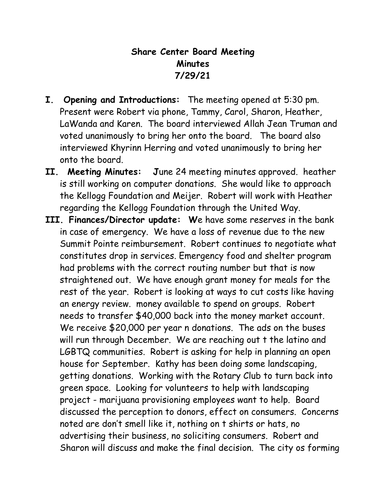## **Share Center Board Meeting Minutes 7/29/21**

- **I. Opening and Introductions:** The meeting opened at 5:30 pm. Present were Robert via phone, Tammy, Carol, Sharon, Heather, LaWanda and Karen. The board interviewed Allah Jean Truman and voted unanimously to bring her onto the board. The board also interviewed Khyrinn Herring and voted unanimously to bring her onto the board.
- **II. Meeting Minutes: J**une 24 meeting minutes approved. heather is still working on computer donations. She would like to approach the Kellogg Foundation and Meijer. Robert will work with Heather regarding the Kellogg Foundation through the United Way.
- **III. Finances/Director update: W**e have some reserves in the bank in case of emergency. We have a loss of revenue due to the new Summit Pointe reimbursement. Robert continues to negotiate what constitutes drop in services. Emergency food and shelter program had problems with the correct routing number but that is now straightened out. We have enough grant money for meals for the rest of the year. Robert is looking at ways to cut costs like having an energy review. money available to spend on groups. Robert needs to transfer \$40,000 back into the money market account. We receive \$20,000 per year n donations. The ads on the buses will run through December. We are reaching out t the latino and LGBTQ communities. Robert is asking for help in planning an open house for September. Kathy has been doing some landscaping, getting donations. Working with the Rotary Club to turn back into green space. Looking for volunteers to help with landscaping project - marijuana provisioning employees want to help. Board discussed the perception to donors, effect on consumers. Concerns noted are don't smell like it, nothing on t shirts or hats, no advertising their business, no soliciting consumers. Robert and Sharon will discuss and make the final decision. The city os forming